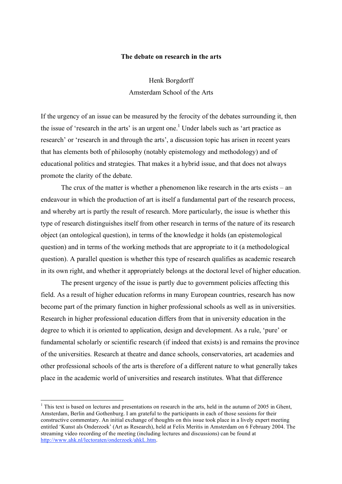#### **The debate on research in the arts**

Henk Borgdorff Amsterdam School of the Arts

If the urgency of an issue can be measured by the ferocity of the debates surrounding it, then the issue of 'research in the arts' is an urgent one.<sup>1</sup> Under labels such as 'art practice as research' or 'research in and through the arts', a discussion topic has arisen in recent years that has elements both of philosophy (notably epistemology and methodology) and of educational politics and strategies. That makes it a hybrid issue, and that does not always promote the clarity of the debate.

The crux of the matter is whether a phenomenon like research in the arts exists – an endeavour in which the production of art is itself a fundamental part of the research process, and whereby art is partly the result of research. More particularly, the issue is whether this type of research distinguishes itself from other research in terms of the nature of its research object (an ontological question), in terms of the knowledge it holds (an epistemological question) and in terms of the working methods that are appropriate to it (a methodological question). A parallel question is whether this type of research qualifies as academic research in its own right, and whether it appropriately belongs at the doctoral level of higher education.

The present urgency of the issue is partly due to government policies affecting this field. As a result of higher education reforms in many European countries, research has now become part of the primary function in higher professional schools as well as in universities. Research in higher professional education differs from that in university education in the degree to which it is oriented to application, design and development. As a rule, 'pure' or fundamental scholarly or scientific research (if indeed that exists) is and remains the province of the universities. Research at theatre and dance schools, conservatories, art academies and other professional schools of the arts is therefore of a different nature to what generally takes place in the academic world of universities and research institutes. What that difference

 $1$ <sup>1</sup> This text is based on lectures and presentations on research in the arts, held in the autumn of 2005 in Ghent, Amsterdam, Berlin and Gothenburg. I am grateful to the participants in each of those sessions for their constructive commentary. An initial exchange of thoughts on this issue took place in a lively expert meeting entitled 'Kunst als Onderzoek' (Art as Research), held at Felix Meritis in Amsterdam on 6 February 2004. The streaming video recording of the meeting (including lectures and discussions) can be found at http://www.ahk.nl/lectoraten/onderzoek/ahkL.htm.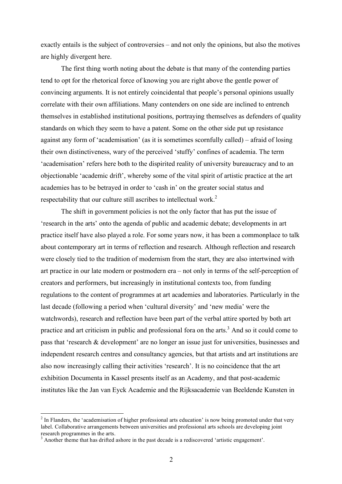exactly entails is the subject of controversies – and not only the opinions, but also the motives are highly divergent here.

The first thing worth noting about the debate is that many of the contending parties tend to opt for the rhetorical force of knowing you are right above the gentle power of convincing arguments. It is not entirely coincidental that people's personal opinions usually correlate with their own affiliations. Many contenders on one side are inclined to entrench themselves in established institutional positions, portraying themselves as defenders of quality standards on which they seem to have a patent. Some on the other side put up resistance against any form of 'academisation' (as it is sometimes scornfully called) – afraid of losing their own distinctiveness, wary of the perceived 'stuffy' confines of academia. The term 'academisation' refers here both to the dispirited reality of university bureaucracy and to an objectionable 'academic drift', whereby some of the vital spirit of artistic practice at the art academies has to be betrayed in order to 'cash in' on the greater social status and respectability that our culture still ascribes to intellectual work.<sup>2</sup>

The shift in government policies is not the only factor that has put the issue of 'research in the arts' onto the agenda of public and academic debate; developments in art practice itself have also played a role. For some years now, it has been a commonplace to talk about contemporary art in terms of reflection and research. Although reflection and research were closely tied to the tradition of modernism from the start, they are also intertwined with art practice in our late modern or postmodern era – not only in terms of the self-perception of creators and performers, but increasingly in institutional contexts too, from funding regulations to the content of programmes at art academies and laboratories. Particularly in the last decade (following a period when 'cultural diversity' and 'new media' were the watchwords), research and reflection have been part of the verbal attire sported by both art practice and art criticism in public and professional fora on the arts.<sup>3</sup> And so it could come to pass that 'research & development' are no longer an issue just for universities, businesses and independent research centres and consultancy agencies, but that artists and art institutions are also now increasingly calling their activities 'research'. It is no coincidence that the art exhibition Documenta in Kassel presents itself as an Academy, and that post-academic institutes like the Jan van Eyck Academie and the Rijksacademie van Beeldende Kunsten in

<sup>&</sup>lt;sup>2</sup> In Flanders, the 'academisation of higher professional arts education' is now being promoted under that very label. Collaborative arrangements between universities and professional arts schools are developing joint

 $3$  Another theme that has drifted ashore in the past decade is a rediscovered 'artistic engagement'.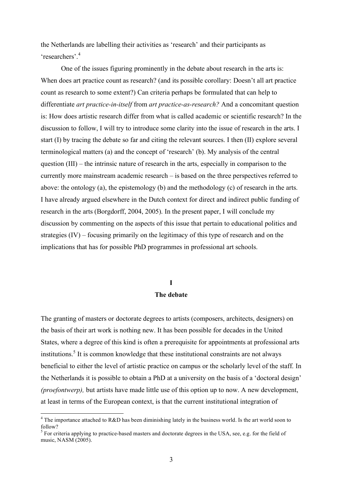the Netherlands are labelling their activities as 'research' and their participants as 'researchers'. 4

One of the issues figuring prominently in the debate about research in the arts is: When does art practice count as research? (and its possible corollary: Doesn't all art practice count as research to some extent?) Can criteria perhaps be formulated that can help to differentiate *art practice-in-itself* from *art practice-as-research?* And a concomitant question is: How does artistic research differ from what is called academic or scientific research? In the discussion to follow, I will try to introduce some clarity into the issue of research in the arts. I start (I) by tracing the debate so far and citing the relevant sources. I then (II) explore several terminological matters (a) and the concept of 'research' (b). My analysis of the central question (III) – the intrinsic nature of research in the arts, especially in comparison to the currently more mainstream academic research – is based on the three perspectives referred to above: the ontology (a), the epistemology (b) and the methodology (c) of research in the arts. I have already argued elsewhere in the Dutch context for direct and indirect public funding of research in the arts (Borgdorff, 2004, 2005). In the present paper, I will conclude my discussion by commenting on the aspects of this issue that pertain to educational politics and strategies (IV) – focusing primarily on the legitimacy of this type of research and on the implications that has for possible PhD programmes in professional art schools.

# **I The debate**

The granting of masters or doctorate degrees to artists (composers, architects, designers) on the basis of their art work is nothing new. It has been possible for decades in the United States, where a degree of this kind is often a prerequisite for appointments at professional arts institutions. <sup>5</sup> It is common knowledge that these institutional constraints are not always beneficial to either the level of artistic practice on campus or the scholarly level of the staff. In the Netherlands it is possible to obtain a PhD at a university on the basis of a 'doctoral design' *(proefontwerp),* but artists have made little use of this option up to now. A new development, at least in terms of the European context, is that the current institutional integration of

<sup>&</sup>lt;sup>4</sup> The importance attached to R&D has been diminishing lately in the business world. Is the art world soon to follow?<br><sup>5</sup> For criteria applying to practice-based masters and doctorate degrees in the USA, see, e.g. for the field of

music, NASM (2005).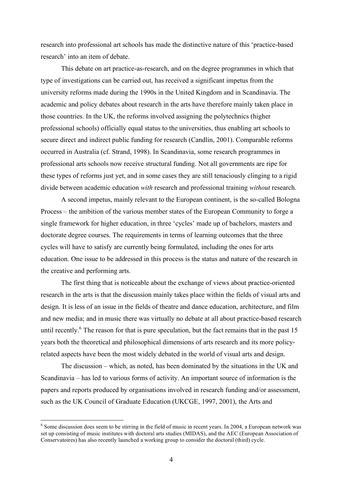research into professional art schools has made the distinctive nature of this 'practice-based research' into an item of debate.

This debate on art practice-as-research, and on the degree programmes in which that type of investigations can be carried out, has received a significant impetus from the university reforms made during the 1990s in the United Kingdom and in Scandinavia. The academic and policy debates about research in the arts have therefore mainly taken place in those countries. In the UK, the reforms involved assigning the polytechnics (higher professional schools) officially equal status to the universities, thus enabling art schools to secure direct and indirect public funding for research (Candlin, 2001). Comparable reforms occurred in Australia (cf. Strand, 1998). In Scandinavia, some research programmes in professional arts schools now receive structural funding. Not all governments are ripe for these types of reforms just yet, and in some cases they are still tenaciously clinging to a rigid divide between academic education *with* research and professional training *without* research.

A second impetus, mainly relevant to the European continent, is the so-called Bologna Process – the ambition of the various member states of the European Community to forge a single framework for higher education, in three 'cycles' made up of bachelors, masters and doctorate degree courses. The requirements in terms of learning outcomes that the three cycles will have to satisfy are currently being formulated, including the ones for arts education. One issue to be addressed in this process is the status and nature of the research in the creative and performing arts.

The first thing that is noticeable about the exchange of views about practice-oriented research in the arts is that the discussion mainly takes place within the fields of visual arts and design. It is less of an issue in the fields of theatre and dance education, architecture, and film and new media; and in music there was virtually no debate at all about practice-based research until recently.<sup>6</sup> The reason for that is pure speculation, but the fact remains that in the past 15 years both the theoretical and philosophical dimensions of arts research and its more policyrelated aspects have been the most widely debated in the world of visual arts and design.

The discussion – which, as noted, has been dominated by the situations in the UK and Scandinavia – has led to various forms of activity. An important source of information is the papers and reports produced by organisations involved in research funding and/or assessment, such as the UK Council of Graduate Education (UKCGE, 1997, 2001), the Arts and

<sup>&</sup>lt;sup>6</sup> Some discussion does seem to be stirring in the field of music in recent years. In 2004, a European network was set up consisting of music institutes with doctoral arts studies (MIDAS), and the AEC (European Association of Conservatoires) has also recently launched a working group to consider the doctoral (third) cycle.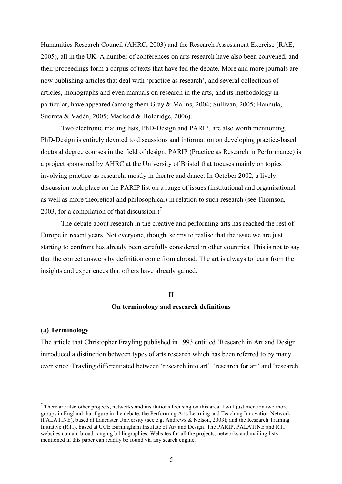Humanities Research Council (AHRC, 2003) and the Research Assessment Exercise (RAE, 2005), all in the UK. A number of conferences on arts research have also been convened, and their proceedings form a corpus of texts that have fed the debate. More and more journals are now publishing articles that deal with 'practice as research', and several collections of articles, monographs and even manuals on research in the arts, and its methodology in particular, have appeared (among them Gray & Malins, 2004; Sullivan, 2005; Hannula, Suornta & Vadén, 2005; Macleod & Holdridge, 2006).

Two electronic mailing lists, PhD-Design and PARIP, are also worth mentioning. PhD-Design is entirely devoted to discussions and information on developing practice-based doctoral degree courses in the field of design. PARIP (Practice as Research in Performance) is a project sponsored by AHRC at the University of Bristol that focuses mainly on topics involving practice-as-research, mostly in theatre and dance. In October 2002, a lively discussion took place on the PARIP list on a range of issues (institutional and organisational as well as more theoretical and philosophical) in relation to such research (see Thomson, 2003, for a compilation of that discussion.)<sup>7</sup>

The debate about research in the creative and performing arts has reached the rest of Europe in recent years. Not everyone, though, seems to realise that the issue we are just starting to confront has already been carefully considered in other countries. This is not to say that the correct answers by definition come from abroad. The art is always to learn from the insights and experiences that others have already gained.

#### **II**

## **On terminology and research definitions**

#### **(a) Terminology**

The article that Christopher Frayling published in 1993 entitled 'Research in Art and Design' introduced a distinction between types of arts research which has been referred to by many ever since. Frayling differentiated between 'research into art', 'research for art' and 'research

 $<sup>7</sup>$  There are also other projects, networks and institutions focusing on this area. I will just mention two more</sup> groups in England that figure in the debate: the Performing Arts Learning and Teaching Innovation Network (PALATINE), based at Lancaster University (see e.g. Andrews & Nelson, 2003); and the Research Training Initiative (RTI), based at UCE Birmingham Institute of Art and Design. The PARIP, PALATINE and RTI websites contain broad-ranging bibliographies. Websites for all the projects, networks and mailing lists mentioned in this paper can readily be found via any search engine.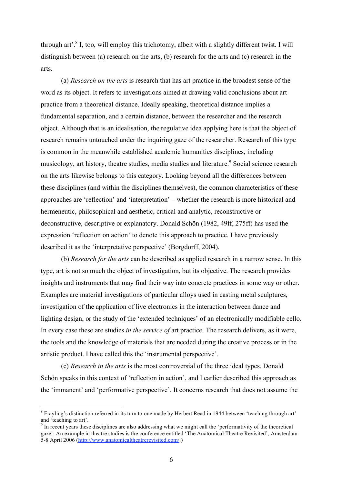through art'.<sup>8</sup> I, too, will employ this trichotomy, albeit with a slightly different twist. I will distinguish between (a) research on the arts, (b) research for the arts and (c) research in the arts.

(a) *Research on the arts* is research that has art practice in the broadest sense of the word as its object. It refers to investigations aimed at drawing valid conclusions about art practice from a theoretical distance. Ideally speaking, theoretical distance implies a fundamental separation, and a certain distance, between the researcher and the research object. Although that is an idealisation, the regulative idea applying here is that the object of research remains untouched under the inquiring gaze of the researcher. Research of this type is common in the meanwhile established academic humanities disciplines, including musicology, art history, theatre studies, media studies and literature.<sup>9</sup> Social science research on the arts likewise belongs to this category. Looking beyond all the differences between these disciplines (and within the disciplines themselves), the common characteristics of these approaches are 'reflection' and 'interpretation' – whether the research is more historical and hermeneutic, philosophical and aesthetic, critical and analytic, reconstructive or deconstructive, descriptive or explanatory. Donald Schön (1982, 49ff, 275ff) has used the expression 'reflection on action' to denote this approach to practice. I have previously described it as the 'interpretative perspective' (Borgdorff, 2004).

(b) *Research for the arts* can be described as applied research in a narrow sense. In this type, art is not so much the object of investigation, but its objective. The research provides insights and instruments that may find their way into concrete practices in some way or other. Examples are material investigations of particular alloys used in casting metal sculptures, investigation of the application of live electronics in the interaction between dance and lighting design, or the study of the 'extended techniques' of an electronically modifiable cello. In every case these are studies *in the service of* art practice. The research delivers, as it were, the tools and the knowledge of materials that are needed during the creative process or in the artistic product. I have called this the 'instrumental perspective'.

(c) *Research in the arts* is the most controversial of the three ideal types. Donald Schön speaks in this context of 'reflection in action', and I earlier described this approach as the 'immanent' and 'performative perspective'. It concerns research that does not assume the

 $8$  Frayling's distinction referred in its turn to one made by Herbert Read in 1944 between 'teaching through art' and 'teaching to art'.<br><sup>9</sup> In recent years these disciplines are also addressing what we might call the 'performativity of the theoretical

gaze'. An example in theatre studies is the conference entitled 'The Anatomical Theatre Revisited', Amsterdam 5-8 April 2006 (http://www.anatomicaltheatrerevisited.com/.)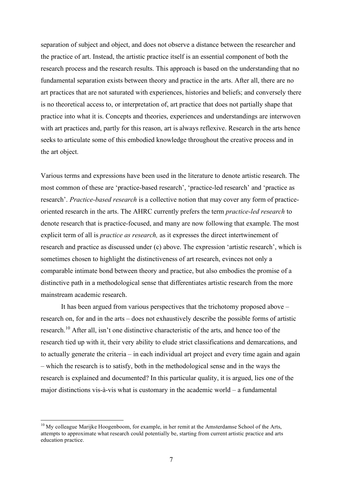separation of subject and object, and does not observe a distance between the researcher and the practice of art. Instead, the artistic practice itself is an essential component of both the research process and the research results. This approach is based on the understanding that no fundamental separation exists between theory and practice in the arts. After all, there are no art practices that are not saturated with experiences, histories and beliefs; and conversely there is no theoretical access to, or interpretation of, art practice that does not partially shape that practice into what it is. Concepts and theories, experiences and understandings are interwoven with art practices and, partly for this reason, art is always reflexive. Research in the arts hence seeks to articulate some of this embodied knowledge throughout the creative process and in the art object.

Various terms and expressions have been used in the literature to denote artistic research. The most common of these are 'practice-based research', 'practice-led research' and 'practice as research'. *Practice-based research* is a collective notion that may cover any form of practiceoriented research in the arts. The AHRC currently prefers the term *practice-led research* to denote research that is practice-focused, and many are now following that example. The most explicit term of all is *practice as research,* as it expresses the direct intertwinement of research and practice as discussed under (c) above. The expression 'artistic research', which is sometimes chosen to highlight the distinctiveness of art research, evinces not only a comparable intimate bond between theory and practice, but also embodies the promise of a distinctive path in a methodological sense that differentiates artistic research from the more mainstream academic research.

It has been argued from various perspectives that the trichotomy proposed above – research on, for and in the arts – does not exhaustively describe the possible forms of artistic research.<sup>10</sup> After all, isn't one distinctive characteristic of the arts, and hence too of the research tied up with it, their very ability to elude strict classifications and demarcations, and to actually generate the criteria – in each individual art project and every time again and again – which the research is to satisfy, both in the methodological sense and in the ways the research is explained and documented? In this particular quality, it is argued, lies one of the major distinctions vis-à-vis what is customary in the academic world – a fundamental

<sup>&</sup>lt;sup>10</sup> My colleague Marijke Hoogenboom, for example, in her remit at the Amsterdamse School of the Arts, attempts to approximate what research could potentially be, starting from current artistic practice and arts education practice.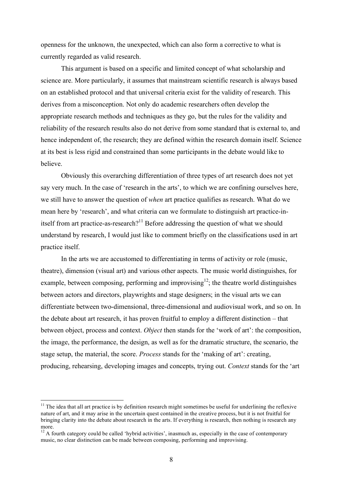openness for the unknown, the unexpected, which can also form a corrective to what is currently regarded as valid research.

This argument is based on a specific and limited concept of what scholarship and science are. More particularly, it assumes that mainstream scientific research is always based on an established protocol and that universal criteria exist for the validity of research. This derives from a misconception. Not only do academic researchers often develop the appropriate research methods and techniques as they go, but the rules for the validity and reliability of the research results also do not derive from some standard that is external to, and hence independent of, the research; they are defined within the research domain itself. Science at its best is less rigid and constrained than some participants in the debate would like to believe.

Obviously this overarching differentiation of three types of art research does not yet say very much. In the case of 'research in the arts', to which we are confining ourselves here, we still have to answer the question of *when* art practice qualifies as research. What do we mean here by 'research', and what criteria can we formulate to distinguish art practice-initself from art practice-as-research?<sup>11</sup> Before addressing the question of what we should understand by research, I would just like to comment briefly on the classifications used in art practice itself.

In the arts we are accustomed to differentiating in terms of activity or role (music, theatre), dimension (visual art) and various other aspects. The music world distinguishes, for example, between composing, performing and improvising  $12$ ; the theatre world distinguishes between actors and directors, playwrights and stage designers; in the visual arts we can differentiate between two-dimensional, three-dimensional and audiovisual work, and so on. In the debate about art research, it has proven fruitful to employ a different distinction – that between object, process and context. *Object* then stands for the 'work of art': the composition, the image, the performance, the design, as well as for the dramatic structure, the scenario, the stage setup, the material, the score. *Process* stands for the 'making of art': creating, producing, rehearsing, developing images and concepts, trying out. *Context* stands for the 'art

 $11$  The idea that all art practice is by definition research might sometimes be useful for underlining the reflexive nature of art, and it may arise in the uncertain quest contained in the creative process, but it is not fruitful for bringing clarity into the debate about research in the arts. If everything is research, then nothing is research any

 $12$  A fourth category could be called 'hybrid activities', inasmuch as, especially in the case of contemporary music, no clear distinction can be made between composing, performing and improvising.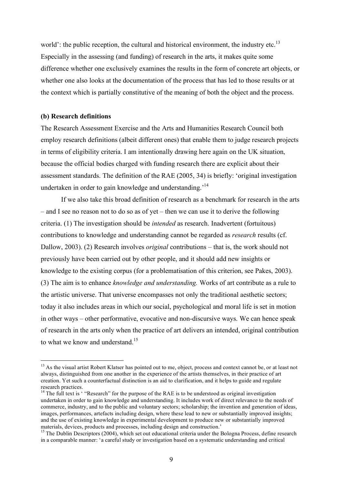world': the public reception, the cultural and historical environment, the industry etc.<sup>13</sup> Especially in the assessing (and funding) of research in the arts, it makes quite some difference whether one exclusively examines the results in the form of concrete art objects, or whether one also looks at the documentation of the process that has led to those results or at the context which is partially constitutive of the meaning of both the object and the process.

#### **(b) Research definitions**

The Research Assessment Exercise and the Arts and Humanities Research Council both employ research definitions (albeit different ones) that enable them to judge research projects in terms of eligibility criteria. I am intentionally drawing here again on the UK situation, because the official bodies charged with funding research there are explicit about their assessment standards. The definition of the RAE (2005, 34) is briefly: 'original investigation undertaken in order to gain knowledge and understanding.<sup>14</sup>

If we also take this broad definition of research as a benchmark for research in the arts – and I see no reason not to do so as of yet – then we can use it to derive the following criteria. (1) The investigation should be *intended* as research. Inadvertent (fortuitous) contributions to knowledge and understanding cannot be regarded as *research* results (cf. Dallow, 2003). (2) Research involves *original* contributions – that is, the work should not previously have been carried out by other people, and it should add new insights or knowledge to the existing corpus (for a problematisation of this criterion, see Pakes, 2003). (3) The aim is to enhance *knowledge and understanding.* Works of art contribute as a rule to the artistic universe. That universe encompasses not only the traditional aesthetic sectors; today it also includes areas in which our social, psychological and moral life is set in motion in other ways – other performative, evocative and non-discursive ways. We can hence speak of research in the arts only when the practice of art delivers an intended, original contribution to what we know and understand.<sup>15</sup>

<sup>&</sup>lt;sup>13</sup> As the visual artist Robert Klatser has pointed out to me, object, process and context cannot be, or at least not always, distinguished from one another in the experience of the artists themselves, in their practice of art creation. Yet such a counterfactual distinction is an aid to clarification, and it helps to guide and regulate research practices.<br><sup>14</sup> The full text is ' "Research" for the purpose of the RAE is to be understood as original investigation

undertaken in order to gain knowledge and understanding. It includes work of direct relevance to the needs of commerce, industry, and to the public and voluntary sectors; scholarship; the invention and generation of ideas, images, performances, artefacts including design, where these lead to new or substantially improved insights; and the use of existing knowledge in experimental development to produce new or substantially improved materials, devices, products and processes, including design and construction.'<br><sup>15</sup> The Dublin Descriptors (2004), which set out educational criteria under the Bologna Process, define research

in a comparable manner: 'a careful study or investigation based on a systematic understanding and critical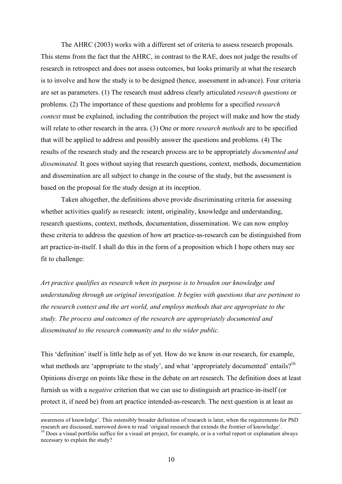The AHRC (2003) works with a different set of criteria to assess research proposals. This stems from the fact that the AHRC, in contrast to the RAE, does not judge the results of research in retrospect and does not assess outcomes, but looks primarily at what the research is to involve and how the study is to be designed (hence, assessment in advance). Four criteria are set as parameters. (1) The research must address clearly articulated *research questions* or problems. (2) The importance of these questions and problems for a specified *research context* must be explained, including the contribution the project will make and how the study will relate to other research in the area. (3) One or more *research methods* are to be specified that will be applied to address and possibly answer the questions and problems. (4) The results of the research study and the research process are to be appropriately *documented and disseminated.* It goes without saying that research questions, context, methods, documentation and dissemination are all subject to change in the course of the study, but the assessment is based on the proposal for the study design at its inception.

Taken altogether, the definitions above provide discriminating criteria for assessing whether activities qualify as research: intent, originality, knowledge and understanding, research questions, context, methods, documentation, dissemination. We can now employ these criteria to address the question of how art practice-as-research can be distinguished from art practice-in-itself. I shall do this in the form of a proposition which I hope others may see fit to challenge:

*Art practice qualifies as research when its purpose is to broaden our knowledge and understanding through an original investigation. It begins with questions that are pertinent to the research context and the art world, and employs methods that are appropriate to the study. The process and outcomes of the research are appropriately documented and disseminated to the research community and to the wider public.*

This 'definition' itself is little help as of yet. How do we know in our research, for example, what methods are 'appropriate to the study', and what 'appropriately documented' entails?<sup>16</sup> Opinions diverge on points like these in the debate on art research. The definition does at least furnish us with a *negative* criterion that we can use to distinguish art practice-in-itself (or protect it, if need be) from art practice intended-as-research. The next question is at least as

awareness of knowledge'. This ostensibly broader definition of research is later, when the requirements for PhD research are discussed, narrowed down to read 'original research that extends the frontier of knowledge'. <sup>16</sup> Does <sup>a</sup> visual portfolio suffice for <sup>a</sup> visual art project, for example, or is <sup>a</sup> verbal report or explanation always

necessary to explain the study?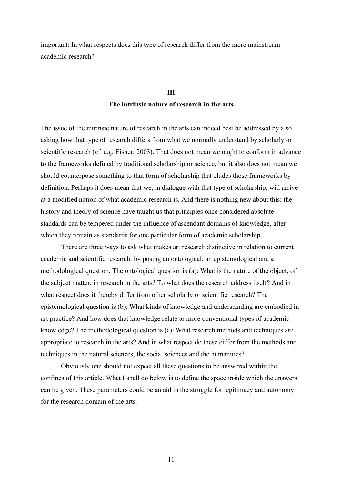important: In what respects does this type of research differ from the more mainstream academic research?

# **III The intrinsic nature of research in the arts**

The issue of the intrinsic nature of research in the arts can indeed best be addressed by also asking how that type of research differs from what we normally understand by scholarly or scientific research (cf. e.g. Eisner, 2003). That does not mean we ought to conform in advance to the frameworks defined by traditional scholarship or science, but it also does not mean we should counterpose something to that form of scholarship that eludes those frameworks by definition. Perhaps it does mean that we, in dialogue with that type of scholarship, will arrive at a modified notion of what academic research is. And there is nothing new about this: the history and theory of science have taught us that principles once considered absolute standards can be tempered under the influence of ascendant domains of knowledge, after which they remain as standards for one particular form of academic scholarship.

There are three ways to ask what makes art research distinctive in relation to current academic and scientific research: by posing an ontological, an epistemological and a methodological question. The ontological question is (a): What is the nature of the object, of the subject matter, in research in the arts? To what does the research address itself? And in what respect does it thereby differ from other scholarly or scientific research? The epistemological question is (b): What kinds of knowledge and understanding are embodied in art practice? And how does that knowledge relate to more conventional types of academic knowledge? The methodological question is (c): What research methods and techniques are appropriate to research in the arts? And in what respect do these differ from the methods and techniques in the natural sciences, the social sciences and the humanities?

Obviously one should not expect all these questions to be answered within the confines of this article. What I shall do below is to define the space inside which the answers can be given. These parameters could be an aid in the struggle for legitimacy and autonomy for the research domain of the arts.

11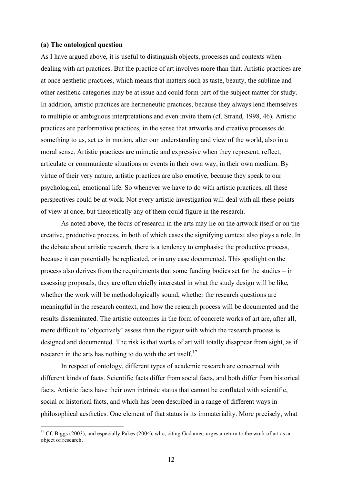#### **(a) The ontological question**

As I have argued above, it is useful to distinguish objects, processes and contexts when dealing with art practices. But the practice of art involves more than that. Artistic practices are at once aesthetic practices, which means that matters such as taste, beauty, the sublime and other aesthetic categories may be at issue and could form part of the subject matter for study. In addition, artistic practices are hermeneutic practices, because they always lend themselves to multiple or ambiguous interpretations and even invite them (cf. Strand, 1998, 46). Artistic practices are performative practices, in the sense that artworks and creative processes do something to us, set us in motion, alter our understanding and view of the world, also in a moral sense. Artistic practices are mimetic and expressive when they represent, reflect, articulate or communicate situations or events in their own way, in their own medium. By virtue of their very nature, artistic practices are also emotive, because they speak to our psychological, emotional life. So whenever we have to do with artistic practices, all these perspectives could be at work. Not every artistic investigation will deal with all these points of view at once, but theoretically any of them could figure in the research.

As noted above, the focus of research in the arts may lie on the artwork itself or on the creative, productive process, in both of which cases the signifying context also plays a role. In the debate about artistic research, there is a tendency to emphasise the productive process, because it can potentially be replicated, or in any case documented. This spotlight on the process also derives from the requirements that some funding bodies set for the studies – in assessing proposals, they are often chiefly interested in what the study design will be like, whether the work will be methodologically sound, whether the research questions are meaningful in the research context, and how the research process will be documented and the results disseminated. The artistic outcomes in the form of concrete works of art are, after all, more difficult to 'objectively' assess than the rigour with which the research process is designed and documented. The risk is that works of art will totally disappear from sight, as if research in the arts has nothing to do with the art itself.<sup>17</sup>

In respect of ontology, different types of academic research are concerned with different kinds of facts. Scientific facts differ from social facts, and both differ from historical facts. Artistic facts have their own intrinsic status that cannot be conflated with scientific, social or historical facts, and which has been described in a range of different ways in philosophical aesthetics. One element of that status is its immateriality. More precisely, what

<sup>&</sup>lt;sup>17</sup> Cf. Biggs (2003), and especially Pakes (2004), who, citing Gadamer, urges a return to the work of art as an object of research.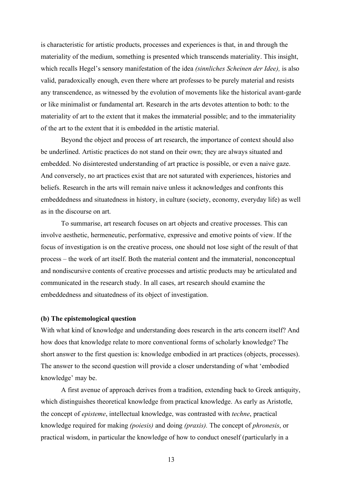is characteristic for artistic products, processes and experiences is that, in and through the materiality of the medium, something is presented which transcends materiality. This insight, which recalls Hegel's sensory manifestation of the idea *(sinnliches Scheinen der Idee),* is also valid, paradoxically enough, even there where art professes to be purely material and resists any transcendence, as witnessed by the evolution of movements like the historical avant-garde or like minimalist or fundamental art. Research in the arts devotes attention to both: to the materiality of art to the extent that it makes the immaterial possible; and to the immateriality of the art to the extent that it is embedded in the artistic material.

Beyond the object and process of art research, the importance of context should also be underlined. Artistic practices do not stand on their own; they are always situated and embedded. No disinterested understanding of art practice is possible, or even a naive gaze. And conversely, no art practices exist that are not saturated with experiences, histories and beliefs. Research in the arts will remain naive unless it acknowledges and confronts this embeddedness and situatedness in history, in culture (society, economy, everyday life) as well as in the discourse on art.

To summarise, art research focuses on art objects and creative processes. This can involve aesthetic, hermeneutic, performative, expressive and emotive points of view. If the focus of investigation is on the creative process, one should not lose sight of the result of that process – the work of art itself. Both the material content and the immaterial, nonconceptual and nondiscursive contents of creative processes and artistic products may be articulated and communicated in the research study. In all cases, art research should examine the embeddedness and situatedness of its object of investigation.

## **(b) The epistemological question**

With what kind of knowledge and understanding does research in the arts concern itself? And how does that knowledge relate to more conventional forms of scholarly knowledge? The short answer to the first question is: knowledge embodied in art practices (objects, processes). The answer to the second question will provide a closer understanding of what 'embodied knowledge' may be.

A first avenue of approach derives from a tradition, extending back to Greek antiquity, which distinguishes theoretical knowledge from practical knowledge. As early as Aristotle, the concept of *episteme*, intellectual knowledge, was contrasted with *techne*, practical knowledge required for making *(poiesis)* and doing *(praxis).* The concept of *phronesis*, or practical wisdom, in particular the knowledge of how to conduct oneself (particularly in a

13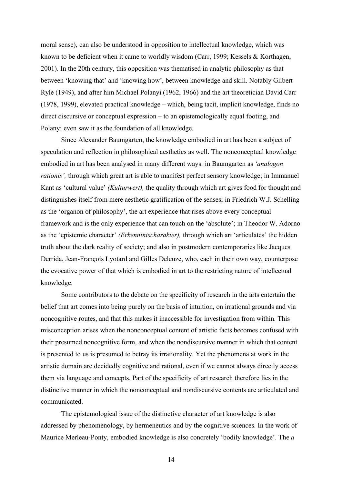moral sense), can also be understood in opposition to intellectual knowledge, which was known to be deficient when it came to worldly wisdom (Carr, 1999; Kessels & Korthagen, 2001). In the 20th century, this opposition was thematised in analytic philosophy as that between 'knowing that' and 'knowing how', between knowledge and skill. Notably Gilbert Ryle (1949), and after him Michael Polanyi (1962, 1966) and the art theoretician David Carr (1978, 1999), elevated practical knowledge – which, being tacit, implicit knowledge, finds no direct discursive or conceptual expression – to an epistemologically equal footing, and Polanyi even saw it as the foundation of all knowledge.

Since Alexander Baumgarten, the knowledge embodied in art has been a subject of speculation and reflection in philosophical aesthetics as well. The nonconceptual knowledge embodied in art has been analysed in many different ways: in Baumgarten as *'analogon rationis',* through which great art is able to manifest perfect sensory knowledge; in Immanuel Kant as 'cultural value' *(Kulturwert),* the quality through which art gives food for thought and distinguishes itself from mere aesthetic gratification of the senses; in Friedrich W.J. Schelling as the 'organon of philosophy', the art experience that rises above every conceptual framework and is the only experience that can touch on the 'absolute'; in Theodor W. Adorno as the 'epistemic character' *(Erkenntnischarakter),* through which art 'articulates' the hidden truth about the dark reality of society; and also in postmodern contemporaries like Jacques Derrida, Jean-François Lyotard and Gilles Deleuze, who, each in their own way, counterpose the evocative power of that which is embodied in art to the restricting nature of intellectual knowledge.

Some contributors to the debate on the specificity of research in the arts entertain the belief that art comes into being purely on the basis of intuition, on irrational grounds and via noncognitive routes, and that this makes it inaccessible for investigation from within. This misconception arises when the nonconceptual content of artistic facts becomes confused with their presumed noncognitive form, and when the nondiscursive manner in which that content is presented to us is presumed to betray its irrationality. Yet the phenomena at work in the artistic domain are decidedly cognitive and rational, even if we cannot always directly access them via language and concepts. Part of the specificity of art research therefore lies in the distinctive manner in which the nonconceptual and nondiscursive contents are articulated and communicated.

The epistemological issue of the distinctive character of art knowledge is also addressed by phenomenology, by hermeneutics and by the cognitive sciences. In the work of Maurice Merleau-Ponty, embodied knowledge is also concretely 'bodily knowledge'. The *a*

14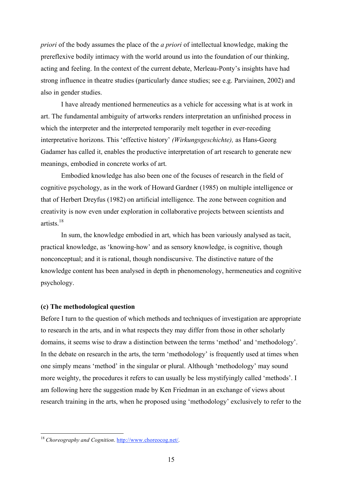*priori* of the body assumes the place of the *a priori* of intellectual knowledge, making the prereflexive bodily intimacy with the world around us into the foundation of our thinking, acting and feeling. In the context of the current debate, Merleau-Ponty's insights have had strong influence in theatre studies (particularly dance studies; see e.g. Parviainen, 2002) and also in gender studies.

I have already mentioned hermeneutics as a vehicle for accessing what is at work in art. The fundamental ambiguity of artworks renders interpretation an unfinished process in which the interpreter and the interpreted temporarily melt together in ever-receding interpretative horizons. This 'effective history' *(Wirkungsgeschichte),* as Hans-Georg Gadamer has called it, enables the productive interpretation of art research to generate new meanings, embodied in concrete works of art.

Embodied knowledge has also been one of the focuses of research in the field of cognitive psychology, as in the work of Howard Gardner (1985) on multiple intelligence or that of Herbert Dreyfus (1982) on artificial intelligence. The zone between cognition and creativity is now even under exploration in collaborative projects between scientists and artists. 18

In sum, the knowledge embodied in art, which has been variously analysed as tacit, practical knowledge, as 'knowing-how' and as sensory knowledge, is cognitive, though nonconceptual; and it is rational, though nondiscursive. The distinctive nature of the knowledge content has been analysed in depth in phenomenology, hermeneutics and cognitive psychology.

### **(c) The methodological question**

Before I turn to the question of which methods and techniques of investigation are appropriate to research in the arts, and in what respects they may differ from those in other scholarly domains, it seems wise to draw a distinction between the terms 'method' and 'methodology'. In the debate on research in the arts, the term 'methodology' is frequently used at times when one simply means 'method' in the singular or plural. Although 'methodology' may sound more weighty, the procedures it refers to can usually be less mystifyingly called 'methods'. I am following here the suggestion made by Ken Friedman in an exchange of views about research training in the arts, when he proposed using 'methodology' exclusively to refer to the

 <sup>18</sup> *Choreography and Cognition*. http://www.choreocog.net/.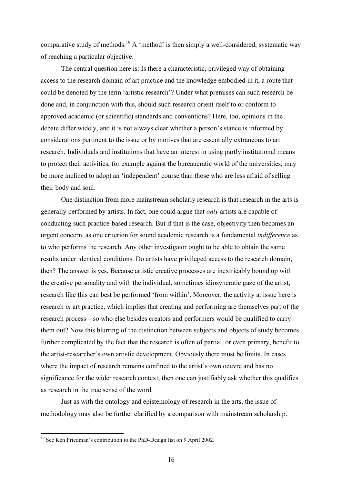comparative study of methods.<sup>19</sup> A 'method' is then simply a well-considered, systematic way of reaching a particular objective.

The central question here is: Is there a characteristic, privileged way of obtaining access to the research domain of art practice and the knowledge embodied in it, a route that could be denoted by the term 'artistic research'? Under what premises can such research be done and, in conjunction with this, should such research orient itself to or conform to approved academic (or scientific) standards and conventions? Here, too, opinions in the debate differ widely, and it is not always clear whether a person's stance is informed by considerations pertinent to the issue or by motives that are essentially extraneous to art research. Individuals and institutions that have an interest in using partly institutional means to protect their activities, for example against the bureaucratic world of the universities, may be more inclined to adopt an 'independent' course than those who are less afraid of selling their body and soul.

One distinction from more mainstream scholarly research is that research in the arts is generally performed by artists. In fact, one could argue that *only* artists are capable of conducting such practice-based research. But if that is the case, objectivity then becomes an urgent concern, as one criterion for sound academic research is a fundamental *indifference* as to who performs the research. Any other investigator ought to be able to obtain the same results under identical conditions. Do artists have privileged access to the research domain, then? The answer is yes. Because artistic creative processes are inextricably bound up with the creative personality and with the individual, sometimes idiosyncratic gaze of the artist, research like this can best be performed 'from within'. Moreover, the activity at issue here is research *in* art practice, which implies that creating and performing are themselves part of the research process – so who else besides creators and performers would be qualified to carry them out? Now this blurring of the distinction between subjects and objects of study becomes further complicated by the fact that the research is often of partial, or even primary, benefit to the artist-researcher's own artistic development. Obviously there must be limits. In cases where the impact of research remains confined to the artist's own oeuvre and has no significance for the wider research context, then one can justifiably ask whether this qualifies as research in the true sense of the word.

Just as with the ontology and epistemology of research in the arts, the issue of methodology may also be further clarified by a comparison with mainstream scholarship.

<sup>&</sup>lt;sup>19</sup> See Ken Friedman's contribution to the PhD-Design list on 9 April 2002.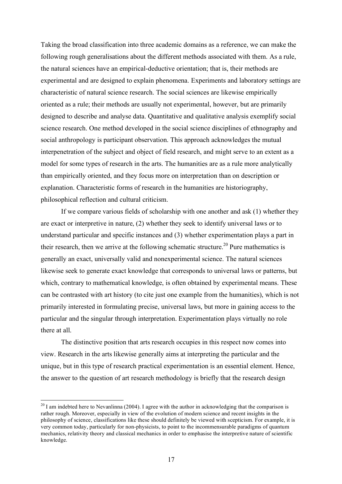Taking the broad classification into three academic domains as a reference, we can make the following rough generalisations about the different methods associated with them. As a rule, the natural sciences have an empirical-deductive orientation; that is, their methods are experimental and are designed to explain phenomena. Experiments and laboratory settings are characteristic of natural science research. The social sciences are likewise empirically oriented as a rule; their methods are usually not experimental, however, but are primarily designed to describe and analyse data. Quantitative and qualitative analysis exemplify social science research. One method developed in the social science disciplines of ethnography and social anthropology is participant observation. This approach acknowledges the mutual interpenetration of the subject and object of field research, and might serve to an extent as a model for some types of research in the arts. The humanities are as a rule more analytically than empirically oriented, and they focus more on interpretation than on description or explanation. Characteristic forms of research in the humanities are historiography, philosophical reflection and cultural criticism.

If we compare various fields of scholarship with one another and ask (1) whether they are exact or interpretive in nature, (2) whether they seek to identify universal laws or to understand particular and specific instances and (3) whether experimentation plays a part in their research, then we arrive at the following schematic structure.<sup>20</sup> Pure mathematics is generally an exact, universally valid and nonexperimental science. The natural sciences likewise seek to generate exact knowledge that corresponds to universal laws or patterns, but which, contrary to mathematical knowledge, is often obtained by experimental means. These can be contrasted with art history (to cite just one example from the humanities), which is not primarily interested in formulating precise, universal laws, but more in gaining access to the particular and the singular through interpretation. Experimentation plays virtually no role there at all.

The distinctive position that arts research occupies in this respect now comes into view. Research in the arts likewise generally aims at interpreting the particular and the unique, but in this type of research practical experimentation is an essential element. Hence, the answer to the question of art research methodology is briefly that the research design

 $^{20}$  I am indebted here to Nevanlinna (2004). I agree with the author in acknowledging that the comparison is rather rough. Moreover, especially in view of the evolution of modern science and recent insights in the philosophy of science, classifications like these should definitely be viewed with scepticism. For example, it is very common today, particularly for non-physicists, to point to the incommensurable paradigms of quantum mechanics, relativity theory and classical mechanics in order to emphasise the interpretive nature of scientific knowledge.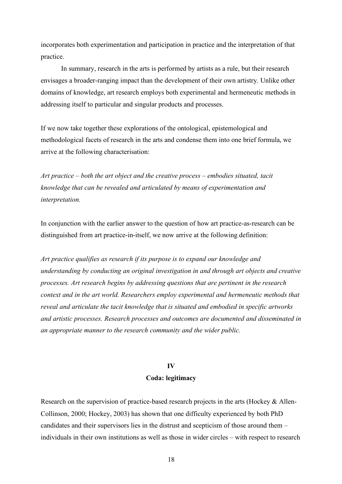incorporates both experimentation and participation in practice and the interpretation of that practice.

In summary, research in the arts is performed by artists as a rule, but their research envisages a broader-ranging impact than the development of their own artistry. Unlike other domains of knowledge, art research employs both experimental and hermeneutic methods in addressing itself to particular and singular products and processes.

If we now take together these explorations of the ontological, epistemological and methodological facets of research in the arts and condense them into one brief formula, we arrive at the following characterisation:

*Art practice – both the art object and the creative process – embodies situated, tacit knowledge that can be revealed and articulated by means of experimentation and interpretation.*

In conjunction with the earlier answer to the question of how art practice-as-research can be distinguished from art practice-in-itself, we now arrive at the following definition:

*Art practice qualifies as research if its purpose is to expand our knowledge and understanding by conducting an original investigation in and through art objects and creative processes. Art research begins by addressing questions that are pertinent in the research context and in the art world. Researchers employ experimental and hermeneutic methods that reveal and articulate the tacit knowledge that is situated and embodied in specific artworks and artistic processes. Research processes and outcomes are documented and disseminated in an appropriate manner to the research community and the wider public.*

### **IV**

### **Coda: legitimacy**

Research on the supervision of practice-based research projects in the arts (Hockey & Allen-Collinson, 2000; Hockey, 2003) has shown that one difficulty experienced by both PhD candidates and their supervisors lies in the distrust and scepticism of those around them – individuals in their own institutions as well as those in wider circles – with respect to research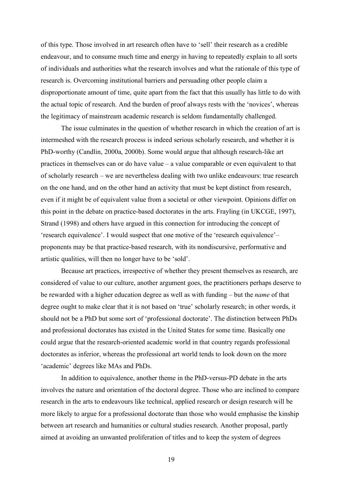of this type. Those involved in art research often have to 'sell' their research as a credible endeavour, and to consume much time and energy in having to repeatedly explain to all sorts of individuals and authorities what the research involves and what the rationale of this type of research is. Overcoming institutional barriers and persuading other people claim a disproportionate amount of time, quite apart from the fact that this usually has little to do with the actual topic of research. And the burden of proof always rests with the 'novices', whereas the legitimacy of mainstream academic research is seldom fundamentally challenged.

The issue culminates in the question of whether research in which the creation of art is intermeshed with the research process is indeed serious scholarly research, and whether it is PhD-worthy (Candlin, 2000a, 2000b). Some would argue that although research-like art practices in themselves can or do have value – a value comparable or even equivalent to that of scholarly research – we are nevertheless dealing with two unlike endeavours: true research on the one hand, and on the other hand an activity that must be kept distinct from research, even if it might be of equivalent value from a societal or other viewpoint. Opinions differ on this point in the debate on practice-based doctorates in the arts. Frayling (in UKCGE, 1997), Strand (1998) and others have argued in this connection for introducing the concept of 'research equivalence'. I would suspect that one motive of the 'research equivalence'– proponents may be that practice-based research, with its nondiscursive, performative and artistic qualities, will then no longer have to be 'sold'.

Because art practices, irrespective of whether they present themselves as research, are considered of value to our culture, another argument goes, the practitioners perhaps deserve to be rewarded with a higher education degree as well as with funding – but the *name* of that degree ought to make clear that it is not based on 'true' scholarly research; in other words, it should not be a PhD but some sort of 'professional doctorate'. The distinction between PhDs and professional doctorates has existed in the United States for some time. Basically one could argue that the research-oriented academic world in that country regards professional doctorates as inferior, whereas the professional art world tends to look down on the more 'academic' degrees like MAs and PhDs.

In addition to equivalence, another theme in the PhD-versus-PD debate in the arts involves the nature and orientation of the doctoral degree. Those who are inclined to compare research in the arts to endeavours like technical, applied research or design research will be more likely to argue for a professional doctorate than those who would emphasise the kinship between art research and humanities or cultural studies research. Another proposal, partly aimed at avoiding an unwanted proliferation of titles and to keep the system of degrees

19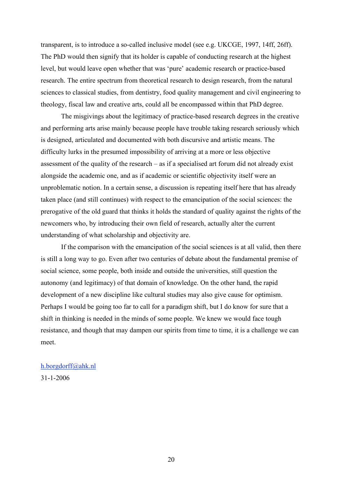transparent, is to introduce a so-called inclusive model (see e.g. UKCGE, 1997, 14ff, 26ff). The PhD would then signify that its holder is capable of conducting research at the highest level, but would leave open whether that was 'pure' academic research or practice-based research. The entire spectrum from theoretical research to design research, from the natural sciences to classical studies, from dentistry, food quality management and civil engineering to theology, fiscal law and creative arts, could all be encompassed within that PhD degree.

The misgivings about the legitimacy of practice-based research degrees in the creative and performing arts arise mainly because people have trouble taking research seriously which is designed, articulated and documented with both discursive and artistic means. The difficulty lurks in the presumed impossibility of arriving at a more or less objective assessment of the quality of the research – as if a specialised art forum did not already exist alongside the academic one, and as if academic or scientific objectivity itself were an unproblematic notion. In a certain sense, a discussion is repeating itself here that has already taken place (and still continues) with respect to the emancipation of the social sciences: the prerogative of the old guard that thinks it holds the standard of quality against the rights of the newcomers who, by introducing their own field of research, actually alter the current understanding of what scholarship and objectivity are.

If the comparison with the emancipation of the social sciences is at all valid, then there is still a long way to go. Even after two centuries of debate about the fundamental premise of social science, some people, both inside and outside the universities, still question the autonomy (and legitimacy) of that domain of knowledge. On the other hand, the rapid development of a new discipline like cultural studies may also give cause for optimism. Perhaps I would be going too far to call for a paradigm shift, but I do know for sure that a shift in thinking is needed in the minds of some people. We knew we would face tough resistance, and though that may dampen our spirits from time to time, it is a challenge we can meet.

# h.borgdorff@ahk.nl

31-1-2006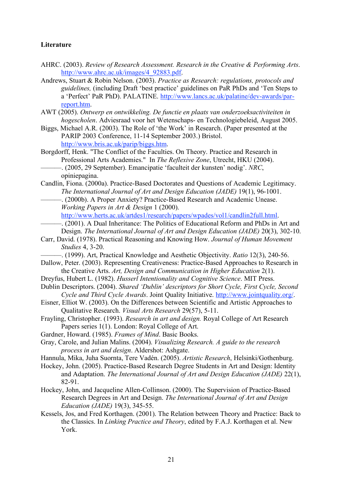# **Literature**

- AHRC. (2003). *Review of Research Assessment. Research in the Creative & Performing Arts*. http://www.ahrc.ac.uk/images/4\_92883.pdf.
- Andrews, Stuart & Robin Nelson. (2003). *Practice as Research: regulations, protocols and guidelines,* (including Draft 'best practice' guidelines on PaR PhDs and 'Ten Steps to a 'Perfect' PaR PhD). PALATINE. http://www.lancs.ac.uk/palatine/dev-awards/parreport.htm.
- AWT (2005). *Ontwerp en ontwikkeling. De functie en plaats van onderzoeksactiviteiten in hogescholen*. Adviesraad voor het Wetenschaps- en Technologiebeleid, August 2005.
- Biggs, Michael A.R. (2003). The Role of 'the Work' in Research. (Paper presented at the PARIP 2003 Conference, 11-14 September 2003.) Bristol. http://www.bris.ac.uk/parip/biggs.htm.
- Borgdorff, Henk. "The Conflict of the Faculties. On Theory. Practice and Research in Professional Arts Academies." In *The Reflexive Zone*, Utrecht, HKU (2004).
	- ———. (2005, 29 September). Emancipatie 'faculteit der kunsten' nodig'. *NRC*, opiniepagina.
- Candlin, Fiona. (2000a). Practice-Based Doctorates and Questions of Academic Legitimacy. *The International Journal of Art and Design Education (JADE)* 19(1), 96-1001.
	- -. (2000b). A Proper Anxiety? Practice-Based Research and Academic Unease. *Working Papers in Art & Design* 1 (2000).

http://www.herts.ac.uk/artdes1/research/papers/wpades/vol1/candlin2full.html.

- ———. (2001). A Dual Inheritance: The Politics of Educational Reform and PhDs in Art and Design. *The International Journal of Art and Design Education (JADE)* 20(3), 302-10.
- Carr, David. (1978). Practical Reasoning and Knowing How. *Journal of Human Movement Studies* 4, 3-20.
	- ———. (1999). Art, Practical Knowledge and Aesthetic Objectivity. *Ratio* 12(3), 240-56.
- Dallow, Peter. (2003). Representing Creativeness: Practice-Based Approaches to Research in the Creative Arts. *Art, Design and Communication in Higher Education* 2(1).
- Dreyfus, Hubert L. (1982). *Husserl Intentionality and Cognitive Science*. MIT Press.
- Dublin Descriptors. (2004). *Shared 'Dublin' descriptors for Short Cycle, First Cycle, Second Cycle and Third Cycle Awards*. Joint Quality Initiative. http://www.jointquality.org/.
- Eisner, Elliot W. (2003). On the Differences between Scientific and Artistic Approaches to Qualitative Research. *Visual Arts Research* 29(57), 5-11.
- Frayling, Christopher. (1993). *Research in art and design.* Royal College of Art Research Papers series 1(1). London: Royal College of Art.
- Gardner, Howard. (1985). *Frames of Mind*. Basic Books.
- Gray, Carole, and Julian Malins. (2004). *Visualizing Research. A guide to the research process in art and design*. Aldershot: Ashgate.
- Hannula, Mika, Juha Suornta, Tere Vadén. (2005). *Artistic Research*, Helsinki/Gothenburg.
- Hockey, John. (2005). Practice-Based Research Degree Students in Art and Design: Identity and Adaptation. *The International Journal of Art and Design Education (JADE)* 22(1), 82-91.
- Hockey, John, and Jacqueline Allen-Collinson. (2000). The Supervision of Practice-Based Research Degrees in Art and Design. *The International Journal of Art and Design Education (JADE)* 19(3), 345-55.
- Kessels, Jos, and Fred Korthagen. (2001). The Relation between Theory and Practice: Back to the Classics. In *Linking Practice and Theory*, edited by F.A.J. Korthagen et al. New York.